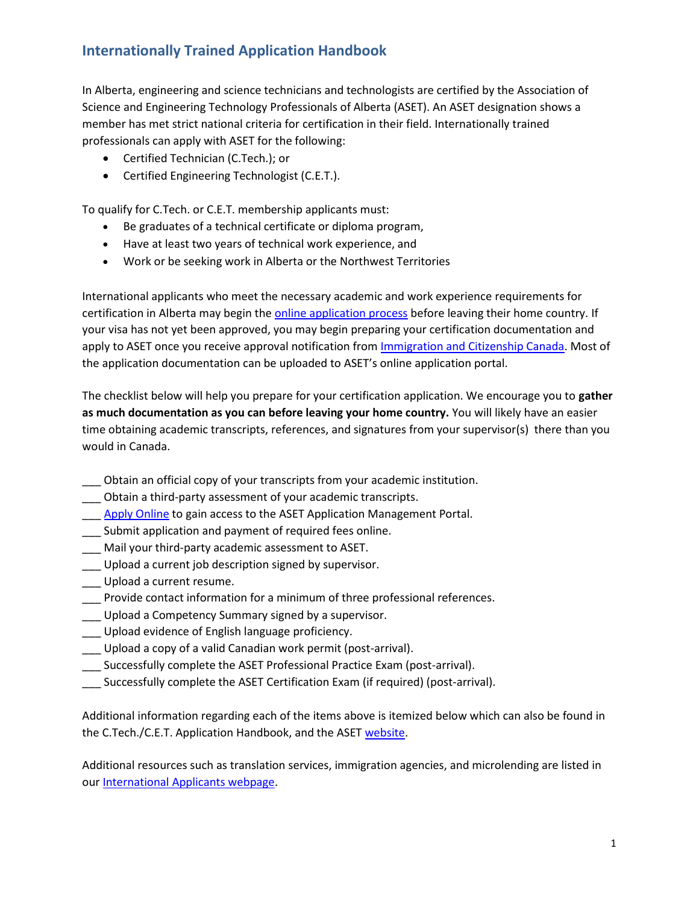In Alberta, engineering and science technicians and technologists are certified by the Association of Science and Engineering Technology Professionals of Alberta (ASET). An ASET designation shows a member has met strict national criteria for certification in their field. Internationally trained professionals can apply with ASET for the following:

- Certified Technician (C.Tech.); or
- Certified Engineering Technologist (C.E.T.).

To qualify for C.Tech. or C.E.T. membership applicants must:

- Be graduates of a technical certificate or diploma program,
- Have at least two years of technical work experience, and
- Work or be seeking work in Alberta or the Northwest Territories

International applicants who meet the necessary academic and work experience requirements for certification in Alberta may begin th[e online application process](https://www.aset.ab.ca/Home/Registration/Become-a-Member/C-Tech-C-E-T) before leaving their home country. If your visa has not yet been approved, you may begin preparing your certification documentation and apply to ASET once you receive approval notification from [Immigration and Citizenship Canada.](https://www.canada.ca/en/services/immigration-citizenship.html) Most of the application documentation can be uploaded to ASET's online application portal.

The checklist below will help you prepare for your certification application. We encourage you to **gather as much documentation as you can before leaving your home country.** You will likely have an easier time obtaining academic transcripts, references, and signatures from your supervisor(s) there than you would in Canada.

- \_\_\_ Obtain an official copy of your transcripts from your academic institution.
- \_\_\_ Obtain a third-party assessment of your academic transcripts.
- Apply Online to gain access to the ASET Application Management Portal.
- \_\_\_ Submit application and payment of required fees online.
- Mail your third-party academic assessment to ASET.
- \_\_\_ Upload a current job description signed by supervisor.
- \_\_\_ Upload a current resume.
- \_\_\_ Provide contact information for a minimum of three professional references.
- **\_\_\_** Upload a Competency Summary signed by a supervisor.
- \_\_\_ Upload evidence of English language proficiency.
- \_\_\_ Upload a copy of a valid Canadian work permit (post-arrival).
- \_\_\_ Successfully complete the ASET Professional Practice Exam (post-arrival).
- \_\_\_ Successfully complete the ASET Certification Exam (if required) (post-arrival).

Additional information regarding each of the items above is itemized below which can also be found in the C.Tech./C.E.T. Application Handbook, and the ASE[T website.](https://www.aset.ab.ca/Home/Registration/Become-a-Member/C-Tech-C-E-T)

Additional resources such as translation services, immigration agencies, and microlending are listed in our [International Applicants webpage.](https://www.aset.ab.ca/Home/Registration/Become-a-Member/International-Applicants)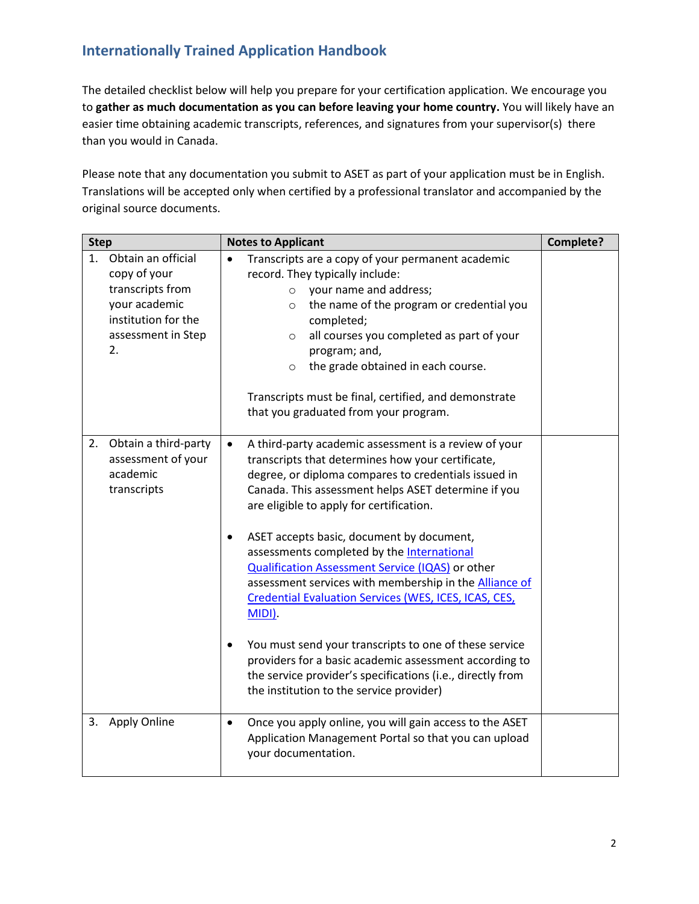The detailed checklist below will help you prepare for your certification application. We encourage you to **gather as much documentation as you can before leaving your home country.** You will likely have an easier time obtaining academic transcripts, references, and signatures from your supervisor(s) there than you would in Canada.

Please note that any documentation you submit to ASET as part of your application must be in English. Translations will be accepted only when certified by a professional translator and accompanied by the original source documents.

| <b>Step</b> |                                                                                                                            | <b>Notes to Applicant</b>                                                                                                                                                                                                                                                                                                                                                                                                                                                                                                                                                                                                                                                                                                                                                                                                        | Complete? |
|-------------|----------------------------------------------------------------------------------------------------------------------------|----------------------------------------------------------------------------------------------------------------------------------------------------------------------------------------------------------------------------------------------------------------------------------------------------------------------------------------------------------------------------------------------------------------------------------------------------------------------------------------------------------------------------------------------------------------------------------------------------------------------------------------------------------------------------------------------------------------------------------------------------------------------------------------------------------------------------------|-----------|
| 1.          | Obtain an official<br>copy of your<br>transcripts from<br>your academic<br>institution for the<br>assessment in Step<br>2. | Transcripts are a copy of your permanent academic<br>$\bullet$<br>record. They typically include:<br>$\circ$ your name and address;<br>the name of the program or credential you<br>$\circ$<br>completed;<br>all courses you completed as part of your<br>$\circ$<br>program; and,<br>the grade obtained in each course.<br>$\circ$<br>Transcripts must be final, certified, and demonstrate<br>that you graduated from your program.                                                                                                                                                                                                                                                                                                                                                                                            |           |
| 2.          | Obtain a third-party<br>assessment of your<br>academic<br>transcripts                                                      | A third-party academic assessment is a review of your<br>$\bullet$<br>transcripts that determines how your certificate,<br>degree, or diploma compares to credentials issued in<br>Canada. This assessment helps ASET determine if you<br>are eligible to apply for certification.<br>ASET accepts basic, document by document,<br>$\bullet$<br>assessments completed by the International<br><b>Qualification Assessment Service (IQAS) or other</b><br>assessment services with membership in the Alliance of<br>Credential Evaluation Services (WES, ICES, ICAS, CES,<br>$MIDI$ ).<br>You must send your transcripts to one of these service<br>$\bullet$<br>providers for a basic academic assessment according to<br>the service provider's specifications (i.e., directly from<br>the institution to the service provider) |           |
| 3.          | <b>Apply Online</b>                                                                                                        | Once you apply online, you will gain access to the ASET<br>$\bullet$<br>Application Management Portal so that you can upload<br>your documentation.                                                                                                                                                                                                                                                                                                                                                                                                                                                                                                                                                                                                                                                                              |           |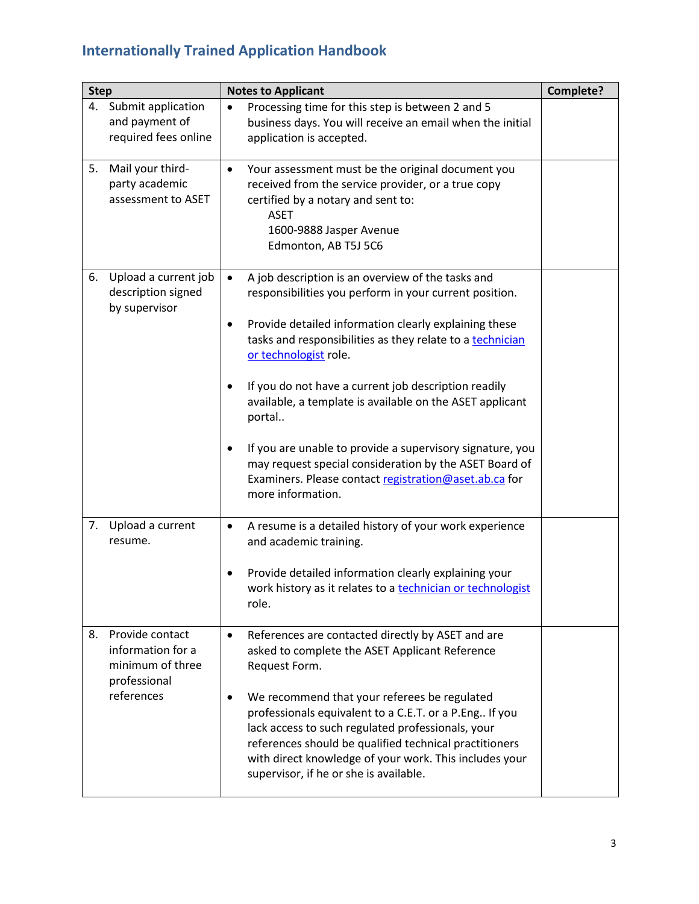| <b>Step</b> |                                                                                        | <b>Notes to Applicant</b>                                                                                                                                                                                                                                                                                                                                                                                                                                                                                                                                                                                                            | Complete? |
|-------------|----------------------------------------------------------------------------------------|--------------------------------------------------------------------------------------------------------------------------------------------------------------------------------------------------------------------------------------------------------------------------------------------------------------------------------------------------------------------------------------------------------------------------------------------------------------------------------------------------------------------------------------------------------------------------------------------------------------------------------------|-----------|
|             | 4. Submit application<br>and payment of<br>required fees online                        | Processing time for this step is between 2 and 5<br>$\bullet$<br>business days. You will receive an email when the initial<br>application is accepted.                                                                                                                                                                                                                                                                                                                                                                                                                                                                               |           |
| 5.          | Mail your third-<br>party academic<br>assessment to ASET                               | Your assessment must be the original document you<br>$\bullet$<br>received from the service provider, or a true copy<br>certified by a notary and sent to:<br><b>ASET</b><br>1600-9888 Jasper Avenue<br>Edmonton, AB T5J 5C6                                                                                                                                                                                                                                                                                                                                                                                                         |           |
| 6.          | Upload a current job<br>description signed<br>by supervisor                            | A job description is an overview of the tasks and<br>$\bullet$<br>responsibilities you perform in your current position.<br>Provide detailed information clearly explaining these<br>$\bullet$<br>tasks and responsibilities as they relate to a technician<br>or technologist role.<br>If you do not have a current job description readily<br>available, a template is available on the ASET applicant<br>portal<br>If you are unable to provide a supervisory signature, you<br>$\bullet$<br>may request special consideration by the ASET Board of<br>Examiners. Please contact registration@aset.ab.ca for<br>more information. |           |
| 7.          | Upload a current<br>resume.                                                            | A resume is a detailed history of your work experience<br>$\bullet$<br>and academic training.<br>Provide detailed information clearly explaining your<br>work history as it relates to a technician or technologist<br>role.                                                                                                                                                                                                                                                                                                                                                                                                         |           |
| 8.          | Provide contact<br>information for a<br>minimum of three<br>professional<br>references | References are contacted directly by ASET and are<br>$\bullet$<br>asked to complete the ASET Applicant Reference<br>Request Form.<br>We recommend that your referees be regulated<br>$\bullet$<br>professionals equivalent to a C.E.T. or a P.Eng If you<br>lack access to such regulated professionals, your<br>references should be qualified technical practitioners<br>with direct knowledge of your work. This includes your<br>supervisor, if he or she is available.                                                                                                                                                          |           |